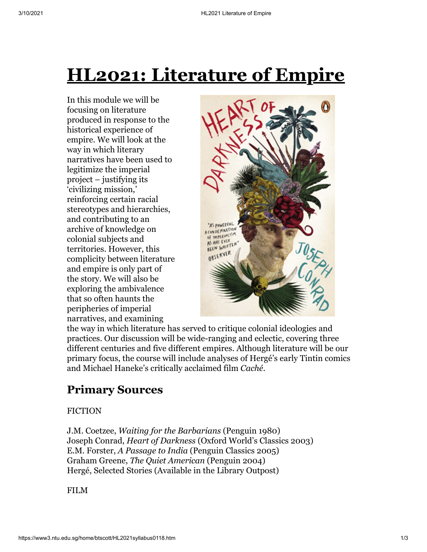# **HL2021: Literature of Empire**

In this module we will be focusing on literature produced in response to the historical experience of empire. We will look at the way in which literary narratives have been used to legitimize the imperial project – justifying its 'civilizing mission,' reinforcing certain racial stereotypes and hierarchies, and contributing to an archive of knowledge on colonial subjects and territories. However, this complicity between literature and empire is only part of the story. We will also be exploring the ambivalence that so often haunts the peripheries of imperial narratives, and examining



the way in which literature has served to critique colonial ideologies and practices. Our discussion will be wide-ranging and eclectic, covering three different centuries and five different empires. Although literature will be our primary focus, the course will include analyses of Hergé's early Tintin comics and Michael Haneke's critically acclaimed film *Caché*.

## **Primary Sources**

#### FICTION

J.M. Coetzee, *Waiting for the Barbarians* (Penguin 1980) Joseph Conrad, *Heart of Darkness* (Oxford World's Classics 2003) E.M. Forster, *A Passage to India* (Penguin Classics 2005) Graham Greene, *The Quiet American* (Penguin 2004) Hergé, Selected Stories (Available in the Library Outpost)

FILM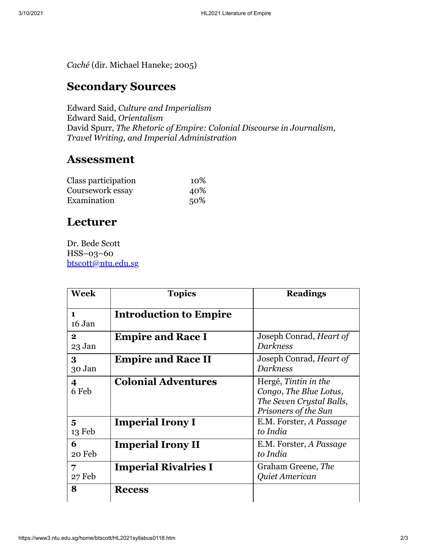*Caché* (dir. Michael Haneke; 2005)

### **Secondary Sources**

Edward Said, *Culture and Imperialism* Edward Said, *Orientalism* David Spurr, *The Rhetoric of Empire: Colonial Discourse in Journalism, Travel Writing, and Imperial Administration*

#### **Assessment**

| Class participation | 10\% |
|---------------------|------|
| Coursework essay    | 40%  |
| Examination         | 50%  |

### **Lecturer**

Dr. Bede Scott HSS–03–60 [btscott@ntu.edu.sg](mailto:btscott@ntu.edu.sg)

| <b>Week</b>            | <b>Topics</b>                 | <b>Readings</b>                                                                                    |
|------------------------|-------------------------------|----------------------------------------------------------------------------------------------------|
| $\mathbf 1$<br>16 Jan  | <b>Introduction to Empire</b> |                                                                                                    |
| $\mathbf{2}$<br>23 Jan | <b>Empire and Race I</b>      | Joseph Conrad, <i>Heart of</i><br><b>Darkness</b>                                                  |
| $\bf{3}$<br>30 Jan     | <b>Empire and Race II</b>     | Joseph Conrad, Heart of<br><b>Darkness</b>                                                         |
| 4<br>6 Feb             | <b>Colonial Adventures</b>    | Hergé, Tintin in the<br>Congo, The Blue Lotus,<br>The Seven Crystal Balls,<br>Prisoners of the Sun |
| 5<br>$13$ Feb          | <b>Imperial Irony I</b>       | E.M. Forster, A Passage<br>to India                                                                |
| 6<br>20 Feb            | <b>Imperial Irony II</b>      | E.M. Forster, A Passage<br>to India                                                                |
| 7<br>27 Feb            | <b>Imperial Rivalries I</b>   | Graham Greene, The<br>Quiet American                                                               |
| 8                      | <b>Recess</b>                 |                                                                                                    |